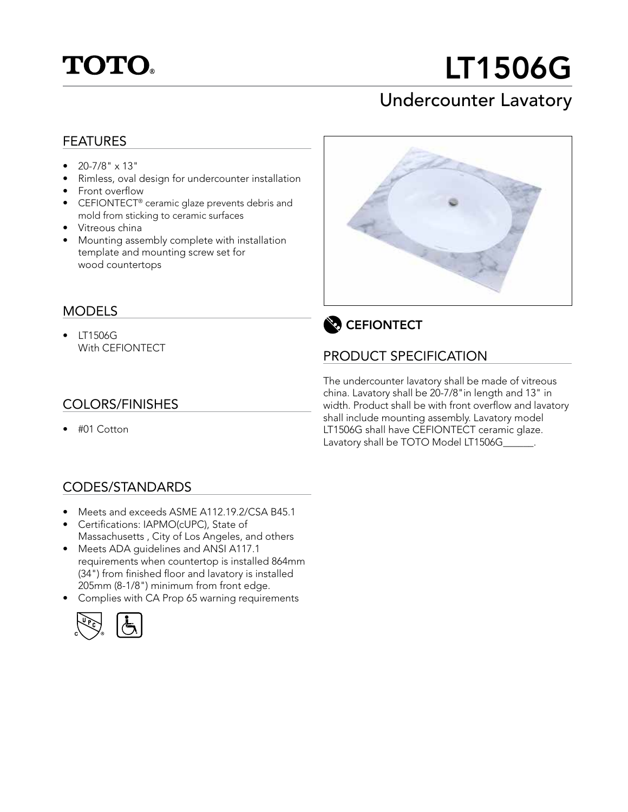

# LT1506G

## Undercounter Lavatory

#### FEATURES

- $20 7/8$ "  $\times$  13"
- Rimless, oval design for undercounter installation
- Front overflow
- CEFIONTECT<sup>®</sup> ceramic glaze prevents debris and mold from sticking to ceramic surfaces
- Vitreous china
- Mounting assembly complete with installation template and mounting screw set for wood countertops

#### MODELS

• LT1506G With CEFIONTECT

#### COLORS/FINISHES

• #01 Cotton

#### CODES/STANDARDS

- Meets and exceeds ASME A112.19.2/CSA B45.1
- Certifications: IAPMO(cUPC), State of Massachusetts , City of Los Angeles, and others
- Meets ADA guidelines and ANSI A117.1 requirements when countertop is installed 864mm (34") from finished floor and lavatory is installed 205mm (8-1/8") minimum from front edge.
- Complies with CA Prop 65 warning requirements







### PRODUCT SPECIFICATION

The undercounter lavatory shall be made of vitreous china. Lavatory shall be 20-7/8"in length and 13" in width. Product shall be with front overflow and lavatory shall include mounting assembly. Lavatory model LT1506G shall have CEFIONTECT ceramic glaze. Lavatory shall be TOTO Model LT1506G\_\_\_\_